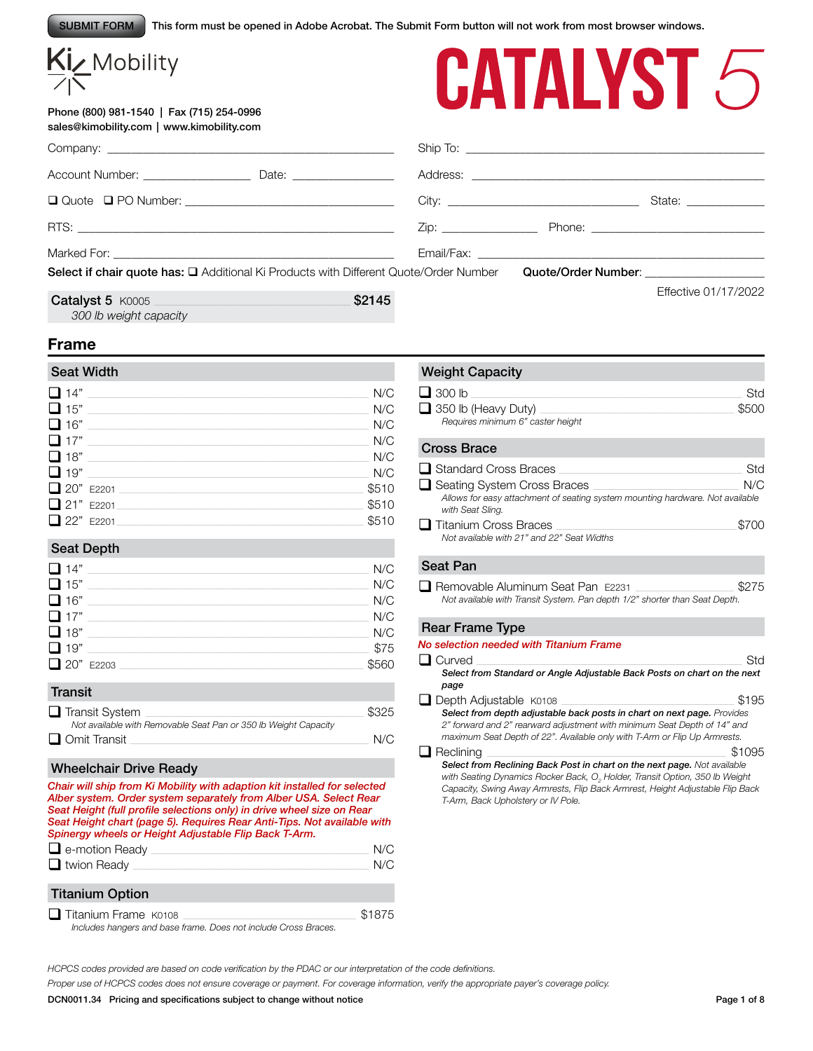This form must be opened in Adobe Acrobat. The Submit Form button will not work from most browser windows. SUBMIT FORM

# Kiz Mobility

*300 lb weight capacity*

Phone (800) 981-1540 | Fax (715) 254-0996 sales@kimobility.com | www.kimobility.com



|                                                                                       |        |                                                                                                                                                                                                                               | State: ______________ |
|---------------------------------------------------------------------------------------|--------|-------------------------------------------------------------------------------------------------------------------------------------------------------------------------------------------------------------------------------|-----------------------|
|                                                                                       |        | Zip: Phone: Phone: Phone: Phone: Phone: Phone: Phone: Phone: Phone: Phone: Phone: Phone: Phone: Phone: Phone: Phone: Phone: Phone: Phone: Phone: Phone: Phone: Phone: Phone: Phone: Phone: Phone: Phone: Phone: Phone: Phone: |                       |
|                                                                                       |        |                                                                                                                                                                                                                               |                       |
| Select if chair quote has: Q Additional Ki Products with Different Quote/Order Number |        | Quote/Order Number: Note that the control of the control of the control of the control of the control of the control of the control of the control of the control of the control of the control of the control of the control |                       |
| Catalyst 5 K0005                                                                      | \$2145 |                                                                                                                                                                                                                               | Effective 01/17/2022  |

# **Frame**

Company:

# Seat Width  $\Box$  14"  $\Box$ q 15" \_\_\_\_\_\_\_\_\_\_\_\_\_\_\_\_\_\_\_\_\_\_\_\_\_\_\_\_\_\_\_\_\_\_\_\_\_\_\_\_\_\_\_\_\_\_\_\_\_\_\_\_\_\_\_\_\_\_\_\_\_\_\_\_\_\_\_\_\_\_\_\_\_\_\_\_\_\_\_\_\_\_\_\_\_\_\_\_\_\_\_\_\_\_\_\_\_\_\_\_\_\_\_\_\_\_ N/C  $\Box$  16"  $\Box$ q 17" \_\_\_\_\_\_\_\_\_\_\_\_\_\_\_\_\_\_\_\_\_\_\_\_\_\_\_\_\_\_\_\_\_\_\_\_\_\_\_\_\_\_\_\_\_\_\_\_\_\_\_\_\_\_\_\_\_\_\_\_\_\_\_\_\_\_\_\_\_\_\_\_\_\_\_\_\_\_\_\_\_\_\_\_\_\_\_\_\_\_\_\_\_\_\_\_\_\_\_\_\_\_\_\_\_\_ N/C q 18" \_\_\_\_\_\_\_\_\_\_\_\_\_\_\_\_\_\_\_\_\_\_\_\_\_\_\_\_\_\_\_\_\_\_\_\_\_\_\_\_\_\_\_\_\_\_\_\_\_\_\_\_\_\_\_\_\_\_\_\_\_\_\_\_\_\_\_\_\_\_\_\_\_\_\_\_\_\_\_\_\_\_\_\_\_\_\_\_\_\_\_\_\_\_\_\_\_\_\_\_\_\_\_\_\_\_ N/C q 19" \_\_\_\_\_\_\_\_\_\_\_\_\_\_\_\_\_\_\_\_\_\_\_\_\_\_\_\_\_\_\_\_\_\_\_\_\_\_\_\_\_\_\_\_\_\_\_\_\_\_\_\_\_\_\_\_\_\_\_\_\_\_\_\_\_\_\_\_\_\_\_\_\_\_\_\_\_\_\_\_\_\_\_\_\_\_\_\_\_\_\_\_\_\_\_\_\_\_\_\_\_\_\_\_\_\_ N/C q 20" E2201 \_\_\_\_\_\_\_\_\_\_\_\_\_\_\_\_\_\_\_\_\_\_\_\_\_\_\_\_\_\_\_\_\_\_\_\_\_\_\_\_\_\_\_\_\_\_\_\_\_\_\_\_\_\_\_\_\_\_\_\_\_\_\_\_\_\_\_\_\_\_\_\_\_\_\_\_\_\_\_\_\_\_\_\_\_\_\_\_\_\_\_\_ \$510  $\Box$  21" E2201 q 22" E2201\_\_\_\_\_\_\_\_\_\_\_\_\_\_\_\_\_\_\_\_\_\_\_\_\_\_\_\_\_\_\_\_\_\_\_\_\_\_\_\_\_\_\_\_\_\_\_\_\_\_\_\_\_\_\_\_\_\_\_\_\_\_\_\_\_\_\_\_\_\_\_\_\_\_\_\_\_\_\_\_\_\_\_\_\_\_\_\_\_\_\_\_\_ \$510

# Seat Depth

| $\Box$ 14" | N/C   |
|------------|-------|
| $\Box$ 15" | N/C   |
| $\Box$ 16" | N/C   |
| $\Box$ 17" | N/C   |
| $\Box$ 18" | N/C   |
| $\Box$ 19" | \$75  |
| 20" E2203  | \$560 |

# **Transit**

| $\Box$ Transit System                                           | \$325 |
|-----------------------------------------------------------------|-------|
| Not available with Removable Seat Pan or 350 lb Weight Capacity |       |
| $\Box$ Omit Transit                                             | N/C   |

# Wheelchair Drive Ready

*Chair will ship from Ki Mobility with adaption kit installed for selected Alber system. Order system separately from Alber USA. Select Rear Seat Height (full profile selections only) in drive wheel size on Rear Seat Height chart (page 5). Requires Rear Anti-Tips. Not available with Spinergy wheels or Height Adjustable Flip Back T-Arm.* q e-motion Ready \_\_\_\_\_\_\_\_\_\_\_\_\_\_\_\_\_\_\_\_\_\_\_\_\_\_\_\_\_\_\_\_\_\_\_\_\_\_\_\_\_\_\_\_\_\_\_\_\_\_\_\_\_\_\_\_\_\_\_\_\_\_\_\_\_\_\_\_\_\_\_\_\_\_\_\_\_\_\_\_\_\_ N/C □ twion Ready  $\Box$  in twion Ready

|                        | . |
|------------------------|---|
| <b>Titanium Option</b> |   |
| $\blacksquare$         |   |

 $\Box$  Titanium Frame K0108  $\Box$  Titanium Frame K0108 *Includes hangers and base frame. Does not include Cross Braces.*

# Weight Capacity

| $\Box$ 300 lb                     | Std   |
|-----------------------------------|-------|
| $\Box$ 350 lb (Heavy Duty)        | \$500 |
| Requires minimum 6" caster height |       |

### Cross Brace

|                  | Standard Cross Braces                                                         | Std   |
|------------------|-------------------------------------------------------------------------------|-------|
|                  | $\Box$ Seating System Cross Braces                                            | N/C   |
| with Seat Sling. | Allows for easy attachment of seating system mounting hardware. Not available |       |
|                  | <b>□</b> Titanium Cross Braces                                                | \$700 |
|                  | Not available with 21" and 22" Seat Widths                                    |       |

# Seat Pan

| Removable Aluminum Seat Pan E2231                                          | \$275 |
|----------------------------------------------------------------------------|-------|
| Not available with Transit System. Pan depth 1/2" shorter than Seat Depth. |       |

# Rear Frame Type

| No selection needed with Titanium Frame                                                                                                                                                                                                                                                    |
|--------------------------------------------------------------------------------------------------------------------------------------------------------------------------------------------------------------------------------------------------------------------------------------------|
| $\Box$ Curved<br>Std                                                                                                                                                                                                                                                                       |
| Select from Standard or Angle Adjustable Back Posts on chart on the next                                                                                                                                                                                                                   |
| page                                                                                                                                                                                                                                                                                       |
| $\Box$ Depth Adjustable $K0108$<br>\$195                                                                                                                                                                                                                                                   |
| Select from depth adjustable back posts in chart on next page. Provides<br>2" forward and 2" rearward adjustment with minimum Seat Depth of 14" and<br>maximum Seat Depth of 22". Available only with T-Arm or Flip Up Armrests.                                                           |
| Reclining<br>\$1095                                                                                                                                                                                                                                                                        |
| Select from Reclining Back Post in chart on the next page. Not available<br>with Seating Dynamics Rocker Back, O <sub>2</sub> Holder, Transit Option, 350 lb Weight<br>Capacity, Swing Away Armrests, Flip Back Armrest, Height Adjustable Flip Back<br>T-Arm, Back Upholstery or IV Pole. |

*HCPCS codes provided are based on code verification by the PDAC or our interpretation of the code definitions.*

*Proper use of HCPCS codes does not ensure coverage or payment. For coverage information, verify the appropriate payer's coverage policy.*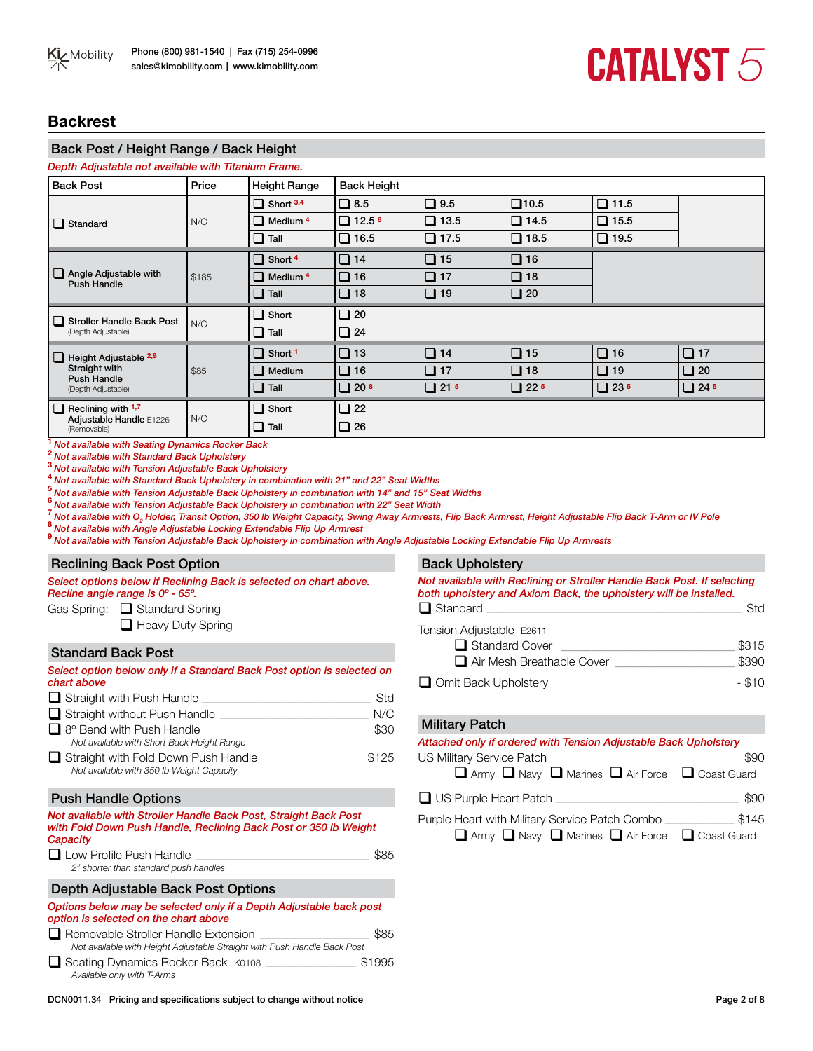# **Backrest**

# Back Post / Height Range / Back Height

| Depth Adjustable not available with Titanium Frame. |                            |                        |             |                |             |             |
|-----------------------------------------------------|----------------------------|------------------------|-------------|----------------|-------------|-------------|
| Price                                               | <b>Height Range</b>        | <b>Back Height</b>     |             |                |             |             |
|                                                     | $\Box$ Short 3,4           | $\Box$ 8.5             | $\Box$ 9.5  | $\square$ 10.5 | $\Box$ 11.5 |             |
| N/C                                                 | $\Box$ Medium <sup>4</sup> | $\Box$ 12.5 $^{\circ}$ | $\Box$ 13.5 | $\Box$ 14.5    | $\Box$ 15.5 |             |
|                                                     | $\Box$ Tall                | $\Box$ 16.5            | $\Box$ 17.5 | $\Box$ 18.5    | $\Box$ 19.5 |             |
| \$185                                               | $\Box$ Short 4             | $\Box$ 14              | $\Box$ 15   | $\Box$ 16      |             |             |
|                                                     | $\Box$ Medium <sup>4</sup> | $\Box$ 16              | $\Box$ 17   | $\Box$ 18      |             |             |
|                                                     | $\Box$ Tall                | $\Box$ 18              | $\Box$ 19   | $\Box$ 20      |             |             |
| N/C                                                 | $\Box$ Short               | $\Box$ 20              |             |                |             |             |
|                                                     | $\Box$ Tall                | $\Box$ 24              |             |                |             |             |
|                                                     | $\Box$ Short 1             | $\Box$ 13              | $\Box$ 14   | $\Box$ 15      | $\Box$ 16   | $\Box$ 17   |
| \$85                                                | $\Box$ Medium              | $\Box$ 16              | $\Box$ 17   | $\Box$ 18      | $\Box$ 19   | $\Box$ 20   |
|                                                     | $\Box$ Tall                | $\Box$ 20 $8$          | $\Box$ 21 5 | $\Box$ 22.5    | $\Box$ 23 5 | $\Box$ 24 5 |
| N/C                                                 | $\Box$ Short               | $\Box$ 22              |             |                |             |             |
|                                                     | $\Box$ Tall                | $\Box$ 26              |             |                |             |             |
|                                                     |                            |                        |             |                |             |             |

**<sup>1</sup>***Not available with Seating Dynamics Rocker Back*

**<sup>2</sup>***Not available with Standard Back Upholstery*

**<sup>3</sup>***Not available with Tension Adjustable Back Upholstery*

**<sup>4</sup>***Not available with Standard Back Upholstery in combination with 21" and 22" Seat Widths*

<sup>6</sup> Not available with Tension Adjustable Back Upholstery in combination with 22" Seat Width<br><sup>7</sup> Not available with O<sub>2</sub> Holder, Transit Option, 350 lb Weight Capacity, Swing Away Armrests,<br><sup>8</sup> Not available with Angle Adj <sup>7</sup> Not available with O<sub>2</sub> Holder, Transit Option, 350 lb Weight Capacity, Swing Away Armrests, Flip Back Armrest, Height Adjustable Flip Back T-Arm or IV Pole

**<sup>9</sup>***Not available with Tension Adjustable Back Upholstery in combination with Angle Adjustable Locking Extendable Flip Up Armrests*

#### Reclining Back Post Option

*Select options below if Reclining Back is selected on chart above. Recline angle range is 0º - 65º.*

Gas Spring:  $\Box$  Standard Spring

 $\Box$  Heavy Duty Spring

### Standard Back Post

| Select option below only if a Standard Back Post option is selected on<br>chart above |       |
|---------------------------------------------------------------------------------------|-------|
| $\Box$ Straight with Push Handle                                                      | Std   |
| $\Box$ Straight without Push Handle                                                   | N/C   |
| $\Box$ 8° Bend with Push Handle<br>Not available with Short Back Height Range         | \$30  |
| Straight with Fold Down Push Handle<br>Not available with 350 lb Weight Capacity      | \$125 |
| <b>Push Handle Ontions</b>                                                            |       |

### Push Handle Options

#### *Not available with Stroller Handle Back Post, Straight Back Post with Fold Down Push Handle, Reclining Back Post or 350 lb Weight Capacity*

| $\Box$ Low Profile Push Handle        | \$85 |
|---------------------------------------|------|
| 2" shorter than standard push handles |      |

### Depth Adjustable Back Post Options

| Options below may be selected only if a Depth Adjustable back post<br>option is selected on the chart above |        |
|-------------------------------------------------------------------------------------------------------------|--------|
| $\Box$ Removable Stroller Handle Extension                                                                  | \$85   |
| Not available with Height Adjustable Straight with Push Handle Back Post                                    |        |
| □ Seating Dynamics Rocker Back, K0108                                                                       | \$1005 |

q Seating Dynamics Rocker Back K0108 \_\_\_\_\_\_\_\_\_\_\_\_\_\_\_\_\_\_\_\_\_\_\_\_\_\_\_\_\_\_\_\_\_\_ \$1995 *Available only with T-Arms*

### Back Upholstery

| Not available with Reclining or Stroller Handle Back Post. If selecting<br>both upholstery and Axiom Back, the upholstery will be installed. |          |  |  |  |  |
|----------------------------------------------------------------------------------------------------------------------------------------------|----------|--|--|--|--|
| $\Box$ Standard                                                                                                                              | Std      |  |  |  |  |
| Tension Adjustable E2611                                                                                                                     |          |  |  |  |  |
| $\Box$ Standard Cover                                                                                                                        | \$315    |  |  |  |  |
| $\Box$ Air Mesh Breathable Cover                                                                                                             | \$390    |  |  |  |  |
| Omit Back Upholstery                                                                                                                         | $-$ \$10 |  |  |  |  |

#### Military Patch

| Attached only if ordered with Tension Adjustable Back Upholstery           |       |
|----------------------------------------------------------------------------|-------|
| <b>US Military Service Patch</b>                                           | \$90  |
| Army Navy Narines Air Force C Coast Guard                                  |       |
| $\Box$ US Purple Heart Patch                                               | \$90  |
| Purple Heart with Military Service Patch Combo                             | \$145 |
| $\Box$ Army $\Box$ Navy $\Box$ Marines $\Box$ Air Force $\Box$ Coast Guard |       |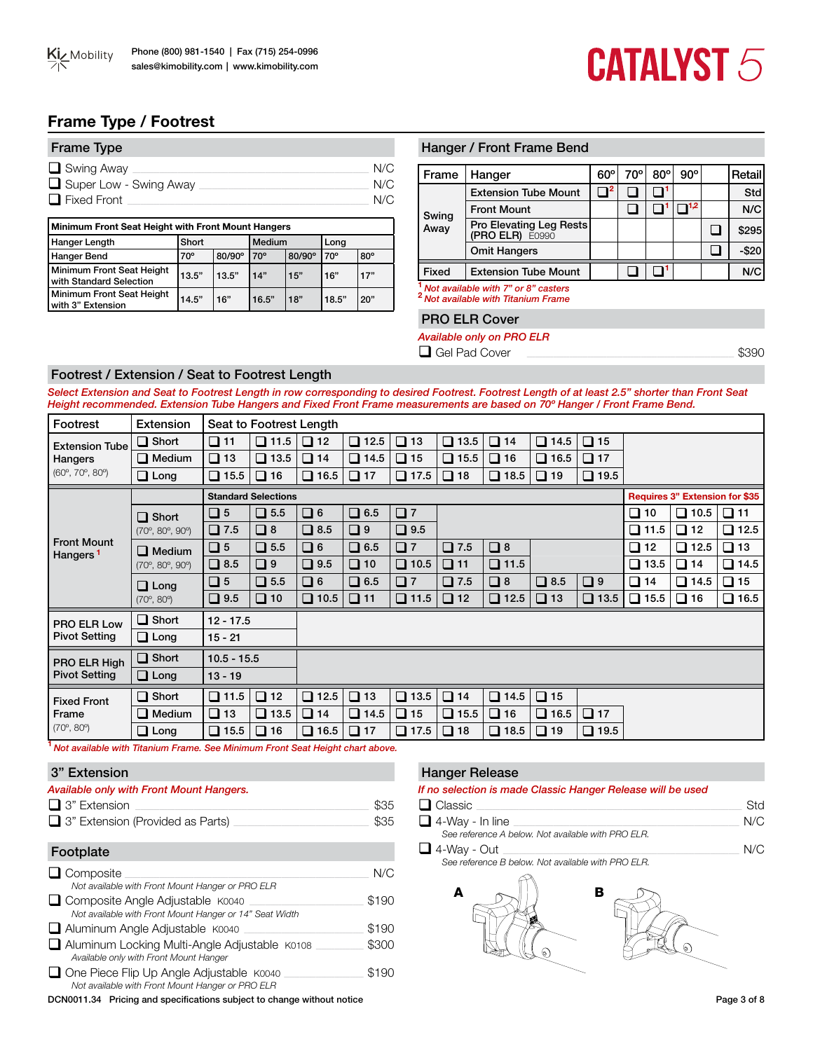# **Frame Type / Footrest**

| <b>Frame Type</b>      |     |
|------------------------|-----|
| $\Box$ Swing Away      | N/C |
| Super Low - Swing Away | N/C |
| $\Box$ Fixed Front     | N/C |

| Minimum Front Seat Height with Front Mount Hangers   |              |        |        |        |       |            |  |  |  |
|------------------------------------------------------|--------------|--------|--------|--------|-------|------------|--|--|--|
| Hanger Length                                        | Short        |        | Medium |        | Long  |            |  |  |  |
| Hanger Bend                                          | $70^{\circ}$ | 80/90° | 70°    | 80/90° | 70°   | $80^\circ$ |  |  |  |
| Minimum Front Seat Height<br>with Standard Selection | 13.5"        | 13.5"  | 14"    | 15"    | 16"   | 17"        |  |  |  |
| Minimum Front Seat Height<br>with 3" Extension       | 14.5"        | 16"    | 16.5"  | 18"    | 18.5" | 20"        |  |  |  |

# Hanger / Front Frame Bend

| l Frame      | Hanger                                     | $60^{\circ}$ | 70° | $80^\circ$ | $90^{\circ}$ | Retail   |
|--------------|--------------------------------------------|--------------|-----|------------|--------------|----------|
|              | <b>Extension Tube Mount</b>                |              |     |            |              | Std      |
| Swing        | <b>Front Mount</b>                         |              |     |            |              | N/C      |
| Away         | Pro Elevating Leg Rests<br>(PRO ELR) E0990 |              |     |            |              | \$295    |
|              | <b>Omit Hangers</b>                        |              |     |            |              | $-$ \$20 |
| <b>Fixed</b> | <b>Extension Tube Mount</b>                |              |     |            |              | N/C      |
|              | Not available with 7" or 9" castors        |              |     |            |              |          |

**<sup>1</sup>***Not available with 7" or 8" casters* **<sup>2</sup>***Not available with Titanium Frame*

### PRO ELR Cover

*Available only on PRO ELR*

 $\Box$  Gel Pad Cover

# Footrest / Extension / Seat to Footrest Length

*Select Extension and Seat to Footrest Length in row corresponding to desired Footrest. Footrest Length of at least 2.5" shorter than Front Seat Height recommended. Extension Tube Hangers and Fixed Front Frame measurements are based on 70º Hanger / Front Frame Bend.* 

| Footrest                                   | Extension                                 |               | Seat to Footrest Length    |              |             |             |             |                |             |             |                |                                |                |
|--------------------------------------------|-------------------------------------------|---------------|----------------------------|--------------|-------------|-------------|-------------|----------------|-------------|-------------|----------------|--------------------------------|----------------|
| <b>Extension Tube</b>                      | $\Box$ Short                              | $\Box$ 11     | $\Box$ 11.5                | $\Box$ 12    | $\Box$ 12.5 | $\Box$ 13   | $\Box$ 13.5 | $\Box$ 14      | $\Box$ 14.5 | $\Box$ 15   |                |                                |                |
| Hangers                                    | $\Box$ Medium                             | $\Box$ 13     | $\Box$ 13.5                | $\Box$ 14    | $\Box$ 14.5 | $\Box$ 15   | $\Box$ 15.5 | $\Box$ 16      | $\Box$ 16.5 | $\Box$ 17   |                |                                |                |
| $(60^{\circ}, 70^{\circ}, 80^{\circ})$     | $\Box$ Long                               | $\Box$ 15.5   | $\Box$ 16                  | $\Box$ 16.5  | $\Box$ 17   | $\Box$ 17.5 | $\Box$ 18   | $\Box$ 18.5    | $\Box$ 19   | $\Box$ 19.5 |                |                                |                |
|                                            |                                           |               | <b>Standard Selections</b> |              |             |             |             |                |             |             |                | Requires 3" Extension for \$35 |                |
|                                            | $\Box$ Short                              | $\Box$ 5      | $\Box$ 5.5                 | $\Box$ 6     | $\Box$ 6.5  | $\square$ 7 |             |                |             |             | $\square$ 10   | $\Box$ 10.5                    | $\Box$ 11      |
|                                            | $(70^{\circ}, 80^{\circ}, 90^{\circ})$    | $\Box$ 7.5    | $\Box$ 8                   | $\Box$ 8.5   | $\square$ 9 | $\Box$ 9.5  |             |                |             |             | $\square$ 11.5 | $\Box$ 12                      | $\square$ 12.5 |
| <b>Front Mount</b><br>Hangers <sup>1</sup> | $\Box$ Medium                             | $\square$ 5   | $\Box$ 5.5                 | $\Box$ 6     | $\Box$ 6.5  | $\Box$ 7    | $\Box$ 7.5  | $\Box$ 8       |             |             |                | $\Box$ 12.5                    | $\Box$ 13      |
|                                            | $(70^{\circ}, 80^{\circ}, 90^{\circ})$    | $\Box$ 8.5    | $\square$ 9                | $\Box$ 9.5   | $\Box$ 10   | $\Box$ 10.5 | $\Box$ 11   | $\square$ 11.5 |             |             | $\Box$ 13.5    | $\Box$ 14                      | $\square$ 14.5 |
|                                            | $\Box$ Long<br>$(70^{\circ}, 80^{\circ})$ | $\square$ 5   | $\Box$ 5.5                 | $\Box$ 6     | $\Box$ 6.5  | $\square$ 7 | $\Box$ 7.5  | $\Box$ 8       | $\Box$ 8.5  | $\Box$ 9    | $\Box$ 14      | $\Box$ 14.5                    | $\Box$ 15      |
|                                            |                                           | $\Box$ 9.5    | $\Box$ 10                  | $\Box$ 10.5  | $\Box$ 11   | $\Box$ 11.5 | $\Box$ 12   | $\Box$ 12.5    | $\Box$ 13   | $\Box$ 13.5 | $\square$ 15.5 | $\Box$ 16                      | $\Box$ 16.5    |
| PRO ELR Low                                | $\Box$ Short                              | $12 - 17.5$   |                            |              |             |             |             |                |             |             |                |                                |                |
| <b>Pivot Setting</b>                       | $\Box$ Long                               | $15 - 21$     |                            |              |             |             |             |                |             |             |                |                                |                |
| PRO ELR High                               | $\Box$ Short                              | $10.5 - 15.5$ |                            |              |             |             |             |                |             |             |                |                                |                |
| <b>Pivot Setting</b>                       | $\Box$ Long                               | $13 - 19$     |                            |              |             |             |             |                |             |             |                |                                |                |
| <b>Fixed Front</b>                         | $\Box$ Short                              | $\Box$ 11.5   | $\Box$ 12                  | $\Box$ 12.5  | $\Box$ 13   | $\Box$ 13.5 | $\Box$ 14   | $\Box$ 14.5    | $\Box$ 15   |             |                |                                |                |
| Frame                                      | $\Box$ Medium                             | $\Box$ 13     | $\Box$ 13.5                | $\square$ 14 | $\Box$ 14.5 | $\Box$ 15   | $\Box$ 15.5 | $\Box$ 16      | $\Box$ 16.5 | $\Box$ 17   |                |                                |                |
| $(70^{\circ}, 80^{\circ})$                 | $\Box$ Long                               | $\Box$ 15.5   | $\Box$ 16                  | $\Box$ 16.5  | $\Box$ 17   | $\Box$ 17.5 | $\Box$ 18   | $\Box$ 18.5    | $\Box$ 19   | $\Box$ 19.5 |                |                                |                |

**<sup>1</sup>** *Not available with Titanium Frame. See Minimum Front Seat Height chart above.*

### 3" Extension

| <b>Available only with Front Mount Hangers.</b>                                                       |       |
|-------------------------------------------------------------------------------------------------------|-------|
| $\Box$ 3" Extension                                                                                   | \$35  |
| $\Box$ 3" Extension (Provided as Parts)                                                               | \$35  |
| Footplate                                                                                             |       |
| $\Box$ Composite                                                                                      | N/C   |
| Not available with Front Mount Hanger or PRO ELR                                                      |       |
| $\Box$ Composite Angle Adjustable $K0040$                                                             | \$190 |
| Not available with Front Mount Hanger or 14" Seat Width                                               |       |
| Aluminum Angle Adjustable K0040                                                                       | \$190 |
| Aluminum Locking Multi-Angle Adjustable K0108<br>Available only with Front Mount Hanger               | \$300 |
| $\Box$ One Piece Flip Up Angle Adjustable $K0040$<br>Not available with Front Mount Hanger or PRO ELR | \$190 |

DCN0011.34 Pricing and specifications subject to change without notice Page 3 of 8

### Hanger Release

# *If no selection is made Classic Hanger Release will be used*

| □ Classic              |     |
|------------------------|-----|
| $\Box$ 4-Way - In line | N/C |

*See reference A below. Not available with PRO ELR.*

q 4-Way - Out \_\_\_\_\_\_\_\_\_\_\_\_\_\_\_\_\_\_\_\_\_\_\_\_\_\_\_\_\_\_\_\_\_\_\_\_\_\_\_\_\_\_\_\_\_\_\_\_\_\_\_\_\_\_\_\_\_\_\_\_\_\_\_\_\_\_\_\_\_\_\_\_\_\_\_\_\_\_\_\_\_\_\_\_\_\_\_\_\_ N/C

*See reference B below. Not available with PRO ELR.*

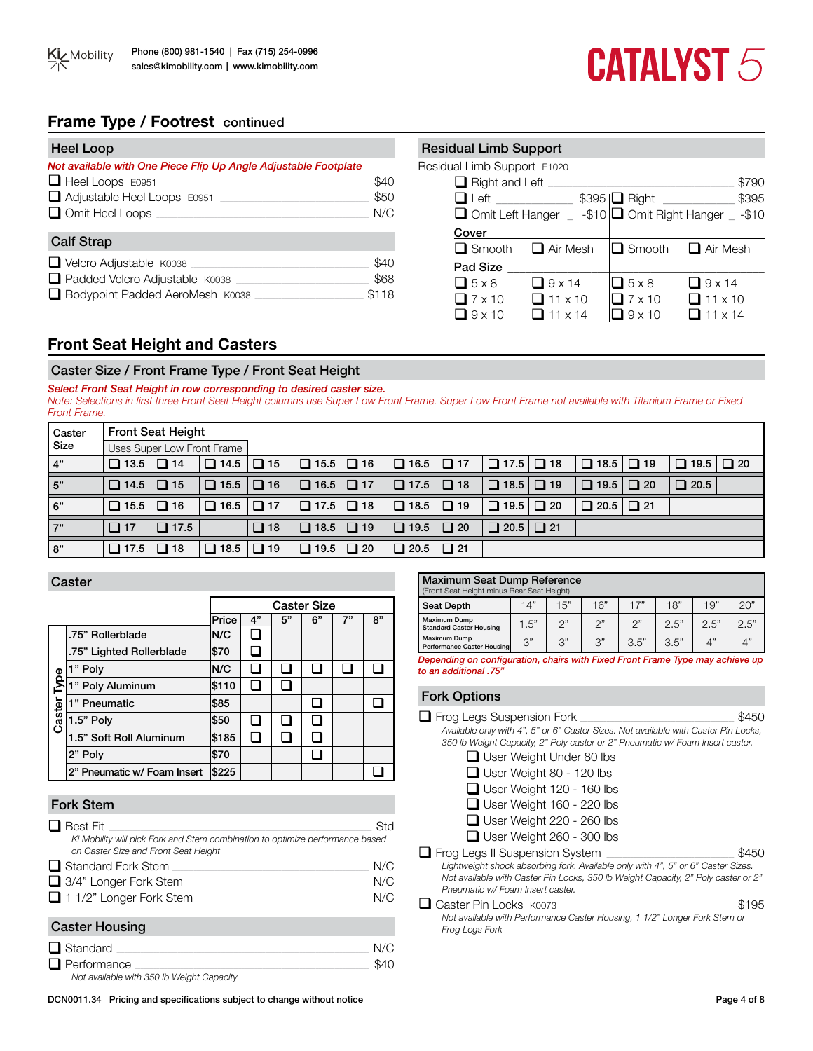# **Frame Type / Footrest** continued

| Heel Loop                                                       |       |
|-----------------------------------------------------------------|-------|
| Not available with One Piece Flip Up Angle Adjustable Footplate |       |
| $\Box$ Heel Loops E0951                                         | \$40  |
| Adjustable Heel Loops E0951                                     | \$50  |
| $\Box$ Omit Heel Loops                                          | N/C   |
| <b>Calf Strap</b>                                               |       |
| $\Box$ Velcro Adjustable $K0038$                                | \$40  |
| Padded Velcro Adjustable K0038                                  | \$68  |
| □ Bodypoint Padded AeroMesh K0038                               | \$118 |

| <b>Residual Limb Support</b> |                 |                            |                                                        |
|------------------------------|-----------------|----------------------------|--------------------------------------------------------|
| Residual Limb Support E1020  |                 |                            |                                                        |
| $\Box$ Right and Left        |                 |                            | \$790                                                  |
| $\Box$ Left                  |                 | $$395$ $\Box$ Right $\Box$ | \$395                                                  |
|                              |                 |                            | □ Omit Left Hanger _ -\$10 □ Omit Right Hanger _ -\$10 |
| Cover                        |                 |                            |                                                        |
| $\Box$ Smooth                | $\Box$ Air Mesh |                            | $\Box$ Smooth $\Box$ Air Mesh                          |
| Pad Size                     |                 |                            |                                                        |
| $\Box$ 5 x 8                 | $\Box$ 9 x 14   | $\Box$ 5 x 8               | $\Box$ 9 x 14                                          |
| $\Box$ 7 x 10                | $\Box$ 11 x 10  | $\Box$ 7 x 10              | $\Box$ 11 x 10                                         |
| $19\times$ 10                | $\Box$ 11 x 14  | $9 \times 10$              | $11 \times 14$                                         |

# **Front Seat Height and Casters**

# Caster Size / Front Frame Type / Front Seat Height

*Select Front Seat Height in row corresponding to desired caster size. Note: Selections in first three Front Seat Height columns use Super Low Front Frame. Super Low Front Frame not available with Titanium Frame or Fixed Front Frame.* 

| Caster | <b>Front Seat Height</b> |                            |                       |           |                             |           |             |               |             |           |             |           |                       |  |
|--------|--------------------------|----------------------------|-----------------------|-----------|-----------------------------|-----------|-------------|---------------|-------------|-----------|-------------|-----------|-----------------------|--|
| Size   |                          | Uses Super Low Front Frame |                       |           |                             |           |             |               |             |           |             |           |                       |  |
| 4"     | $\Box$ 13.5              | $\Box$ 14                  | $\Box$ 14.5 $\Box$ 15 |           | $\Box$ 15.5 $\Box$ 16       |           | $\Box$ 16.5 | $\sqrt{ }$ 17 |             |           | $\Box$ 18.5 | $\Box$ 19 | $\Box$ 19.5 $\Box$ 20 |  |
| 5"     | $\Box$ 14.5              | $\Box$ 15                  | $\Box$ 15.5 $\Box$ 16 |           | $\boxed{16.5} \boxed{)} 17$ |           | $\Box$ 17.5 | $\Box$ 18     |             |           | $\Box$ 19.5 | $\Box$ 20 | $\Box$ 20.5           |  |
| 6"     | $\Box$ 15.5              | $\Box$ 16                  | $\Box$ 16.5           | $\Box$ 17 |                             |           | $\Box$ 18.5 | $\Box$ 19     | $\Box$ 19.5 | $\Box$ 20 | $\Box$ 20.5 | $\Box$ 21 |                       |  |
| 7"     | $\Box$ 17                | $\Box$ 17.5                |                       | $\Box$ 18 | $\Box$ 18.5 $\Box$ 19       |           | $\Box$ 19.5 | $\Box$ 20     |             |           |             |           |                       |  |
| 8"     | $\Box$ 17.5              | $\Box$ 18                  | $\Box$ 18.5           | $\Box$ 19 | $\Box$ 19.5                 | $\Box$ 20 | $\Box$ 20.5 | $\Box$ 21     |             |           |             |           |                       |  |

### Caster

|                     |                             | <b>Caster Size</b> |    |    |    |    |    |  |  |  |
|---------------------|-----------------------------|--------------------|----|----|----|----|----|--|--|--|
|                     |                             | Price              | 4" | 5" | 6" | 7" | 8" |  |  |  |
|                     | .75" Rollerblade            | N/C                |    |    |    |    |    |  |  |  |
|                     | .75" Lighted Rollerblade    | \$70               |    |    |    |    |    |  |  |  |
|                     | 1" Poly                     | N/C                |    |    |    |    |    |  |  |  |
| $\overline{I}$ ype  | 1" Poly Aluminum            | \$110              |    |    |    |    |    |  |  |  |
|                     | 1" Pneumatic                | \$85               |    |    |    |    |    |  |  |  |
| Caster <sup>-</sup> | 1.5" Poly                   | \$50               |    |    |    |    |    |  |  |  |
|                     | 1.5" Soft Roll Aluminum     | \$185              |    |    |    |    |    |  |  |  |
|                     | 2" Poly                     | \$70               |    |    |    |    |    |  |  |  |
|                     | 2" Pneumatic w/ Foam Insert | \$225              |    |    |    |    |    |  |  |  |

# Fork Stem

| ו ושיש או שי                                                                                                          |     |
|-----------------------------------------------------------------------------------------------------------------------|-----|
| $\Box$ Best Fit                                                                                                       | Std |
| Ki Mobility will pick Fork and Stem combination to optimize performance based<br>on Caster Size and Front Seat Height |     |
| $\Box$ Standard Fork Stem                                                                                             | N/C |
| $\Box$ 3/4" Longer Fork Stem                                                                                          | N/C |
| $\Box$ 1 1/2" Longer Fork Stem                                                                                        | N/C |
| Caster Housing                                                                                                        |     |

# r no q Standard \_\_\_\_\_\_\_\_\_\_\_\_\_\_\_\_\_\_\_\_\_\_\_\_\_\_\_\_\_\_\_\_\_\_\_\_\_\_\_\_\_\_\_\_\_\_\_\_\_\_\_\_\_\_\_\_\_\_\_\_\_\_\_\_\_\_\_\_\_\_\_\_\_\_\_\_\_\_\_\_\_\_\_\_\_\_\_\_\_\_\_\_\_\_\_ N/C  $\Box$  Performance

*Not available with 350 lb Weight Capacity*

| Maximum Seat Dump Reference<br>(Front Seat Height minus Rear Seat Height) |      |     |     |      |      |      |      |
|---------------------------------------------------------------------------|------|-----|-----|------|------|------|------|
| <b>Seat Depth</b>                                                         | 14"  | 15" | 16" | 17"  | 18"  | 19"  | 20"  |
| Maximum Dump<br><b>Standard Caster Housing</b>                            | 1.5" | つ"  | つ"  | つ"   | 2.5" | 2.5" | 2.5" |
| Maximum Dump<br>Performance Caster Housing                                | 3"   | 3"  | 3"  | 3.5" | 3.5" | Δ"   | 4"   |
| . .<br>__                                                                 |      | .   |     | ___  |      |      | . .  |

*Depending on configuration, chairs with Fixed Front Frame Type may achieve up to an additional .75"*

# Fork Options

| $\Box$ Frog Legs Suspension Fork                                                                                                                                                                          | \$450 |
|-----------------------------------------------------------------------------------------------------------------------------------------------------------------------------------------------------------|-------|
| Available only with 4", 5" or 6" Caster Sizes. Not available with Caster Pin Locks,<br>350 lb Weight Capacity, 2" Poly caster or 2" Pneumatic w/ Foam Insert caster.                                      |       |
| □ User Weight Under 80 lbs                                                                                                                                                                                |       |
| $\Box$ User Weight 80 - 120 lbs                                                                                                                                                                           |       |
| $\Box$ User Weight 120 - 160 lbs                                                                                                                                                                          |       |
| $\Box$ User Weight 160 - 220 lbs                                                                                                                                                                          |       |
| $\Box$ User Weight 220 - 260 lbs                                                                                                                                                                          |       |
| $\Box$ User Weight 260 - 300 lbs                                                                                                                                                                          |       |
| $\Box$ Frog Legs II Suspension System                                                                                                                                                                     | \$450 |
| Lightweight shock absorbing fork. Available only with 4", 5" or 6" Caster Sizes.<br>Not available with Caster Pin Locks, 350 lb Weight Capacity, 2" Poly caster or 2"<br>Pneumatic w/ Foam Insert caster. |       |
| Caster Pin Locks K0073                                                                                                                                                                                    | \$195 |
| Not available with Performance Caster Housing, 1 1/2" Longer Fork Stem or                                                                                                                                 |       |

*Frog Legs Fork*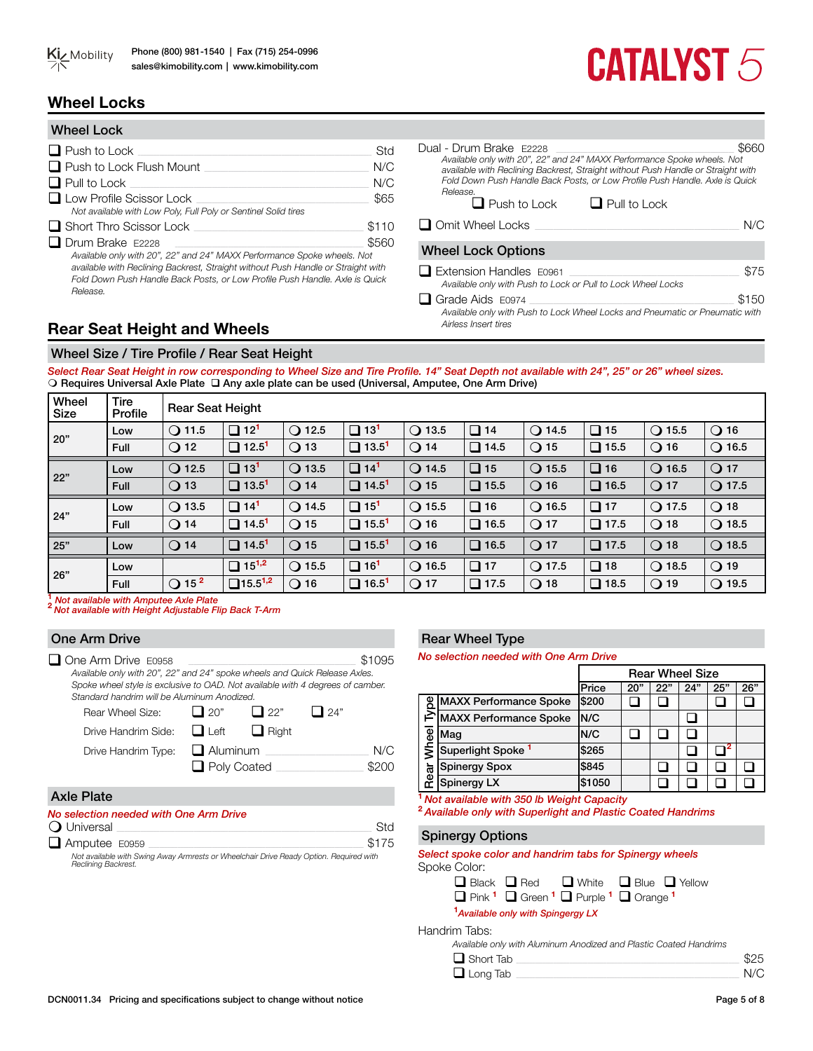

# **Wheel Locks**

| <b>Wheel Lock</b>                                                                                                                                                                                                                                      |       |
|--------------------------------------------------------------------------------------------------------------------------------------------------------------------------------------------------------------------------------------------------------|-------|
| $\Box$ Push to Lock                                                                                                                                                                                                                                    | Std   |
| $\Box$ Push to Lock Flush Mount                                                                                                                                                                                                                        | N/C   |
| $\Box$ Pull to Lock                                                                                                                                                                                                                                    | N/C   |
| $\Box$ Low Profile Scissor Lock<br>Not available with Low Poly, Full Poly or Sentinel Solid tires                                                                                                                                                      | \$65  |
| $\Box$ Short Thro Scissor Lock                                                                                                                                                                                                                         | \$110 |
| $\Box$ Drum Brake E2228                                                                                                                                                                                                                                | \$560 |
| Available only with 20", 22" and 24" MAXX Performance Spoke wheels. Not<br>available with Reclining Backrest, Straight without Push Handle or Straight with<br>Fold Down Push Handle Back Posts, or Low Profile Push Handle. Axle is Quick<br>Release. |       |

Dual - Drum Brake E2228\_\_\_\_\_\_\_\_\_\_\_\_\_\_\_\_\_\_\_\_\_\_\_\_\_\_\_\_\_\_\_\_\_\_\_\_\_\_\_\_\_\_\_\_\_\_\_\_\_\_\_\_\_\_\_\_\_\_\_\_\_\_\_\_\_\_\_ \$660 *Available only with 20", 22" and 24" MAXX Performance Spoke wheels. Not available with Reclining Backrest, Straight without Push Handle or Straight with Fold Down Push Handle Back Posts, or Low Profile Push Handle. Axle is Quick Release.*  $\Box$  Push to Lock  $\Box$  Pull to Lock  $\Box$  Omit Wheel Locks Wheel Lock Options q Extension Handles E0961 \_\_\_\_\_\_\_\_\_\_\_\_\_\_\_\_\_\_\_\_\_\_\_\_\_\_\_\_\_\_\_\_\_\_\_\_\_\_\_\_\_\_\_\_\_\_\_\_\_\_\_\_\_\_\_\_\_\_\_\_\_\_\_\_ \$75 *Available only with Push to Lock or Pull to Lock Wheel Locks*  $\Box$  Grade Aids  $E0974$   $\Box$ 

*Available only with Push to Lock Wheel Locks and Pneumatic or Pneumatic with Airless Insert tires*

# **Rear Seat Height and Wheels**

# Wheel Size / Tire Profile / Rear Seat Height

*Select Rear Seat Height in row corresponding to Wheel Size and Tire Profile. 14" Seat Depth not available with 24", 25" or 26" wheel sizes.*  O Requires Universal Axle Plate Q Any axle plate can be used (Universal, Amputee, One Arm Drive)

| Wheel<br>Size | Tire<br>Profile | <b>Rear Seat Height</b>    |                          |                  |                          |                 |              |                 |                |                  |                 |
|---------------|-----------------|----------------------------|--------------------------|------------------|--------------------------|-----------------|--------------|-----------------|----------------|------------------|-----------------|
|               | Low             | $Q$ 11.5                   | $\Box$ 12 <sup>1</sup>   | 12.5<br>$\Omega$ | $\Box$ 13 <sup>1</sup>   | $Q$ 13.5        | ❏<br>14      | $Q$ 14.5        | $\Box$ 15      | $\Omega$<br>15.5 | $\bigcirc$ 16   |
| 20"           | Full            | $\bigcirc$ 12              | $\Box$ 12.5 <sup>1</sup> | $\bigcirc$ 13    | $\Box$ 13.5 <sup>1</sup> | $Q$ 14          | $\Box$ 14.5  | $\bigcirc$ 15   | $\Box$ 15.5    | $\bigcirc$ 16    | $Q$ 16.5        |
| 22"           | Low             | $\Omega$ 12.5              | $\Box$ 13 <sup>1</sup>   | $\bigcirc$ 13.5  | $\Box$ 14 <sup>1</sup>   | $Q$ 14.5        | $\Box$ 15    | $\bigcirc$ 15.5 | $\Box$ 16      | $\bigcirc$ 16.5  | $\bigcirc$ 17   |
|               | Full            | $\bigcirc$ 13              | $\Box$ 13.5 <sup>1</sup> | $\bigcirc$ 14    | $\Box$ 14.5 <sup>1</sup> | $\bigcirc$ 15   | $\Box$ 15.5  | $Q$ 16          | $\Box$ 16.5    | $\bigcirc$ 17    | $Q$ 17.5        |
| 24"           | Low             | $\bigcirc$ 13.5            | $\Box$ 14 <sup>1</sup>   | $\bigcirc$ 14.5  | $\Box$ 15 <sup>1</sup>   | $\bigcirc$ 15.5 | □<br>16      | $Q$ 16.5        | $\Box$ 17      | $Q$ 17.5         | $\bigcirc$ 18   |
|               | Full            | $\bigcirc$ 14              | $\Box$ 14.5 <sup>1</sup> | $\bigcirc$ 15    | $\Box$ 15.5 <sup>1</sup> | $Q$ 16          | $\Box$ 16.5  | $\bigcirc$ 17   | $\Box$ 17.5    | $\bigcirc$ 18    | $\bigcirc$ 18.5 |
| 25"           | Low             | $\bigcirc$ 14              | $\Box$ 14.5 <sup>1</sup> | $\bigcirc$ 15    | $\Box$ 15.5 <sup>1</sup> | $Q$ 16          | $\Box$ 16.5  | $Q$ 17          | $\square$ 17.5 | $Q$ 18           | $Q$ 18.5        |
| 26"           | Low             |                            | $\Box$ 15 <sup>1,2</sup> | $\bigcirc$ 15.5  | $\Box$ 16 <sup>1</sup>   | $Q$ 16.5        | $\square$ 17 | $Q$ 17.5        | $\Box$ 18      | $Q$ 18.5         | $Q$ 19          |
|               | Full            | $\bigcirc$ 15 <sup>2</sup> | $15.5^{1,2}$             | $\bigcirc$ 16    | $\Box$ 16.5 <sup>1</sup> | $Q$ 17          | $\Box$ 17.5  | $\bigcirc$ 18   | $\Box$ 18.5    | $\bigcirc$ 19    | $\bigcirc$ 19.5 |
|               |                 |                            |                          |                  |                          |                 |              |                 |                |                  |                 |

**<sup>1</sup>** *Not available with Amputee Axle Plate* **<sup>2</sup>***Not available with Height Adjustable Flip Back T-Arm*

# One Arm Drive

| One Arm Drive E0958                                                            |                    |              |            | 1095  |  |  |  |  |
|--------------------------------------------------------------------------------|--------------------|--------------|------------|-------|--|--|--|--|
| Available only with 20", 22" and 24" spoke wheels and Quick Release Axles.     |                    |              |            |       |  |  |  |  |
| Spoke wheel style is exclusive to OAD. Not available with 4 degrees of camber. |                    |              |            |       |  |  |  |  |
| Standard handrim will be Aluminum Anodized.                                    |                    |              |            |       |  |  |  |  |
| Rear Wheel Size:                                                               | $\Box$ 20"         | $\Box$ 22"   | $\Box$ 24" |       |  |  |  |  |
| Drive Handrim Side:                                                            | $\Box$ Left        | $\Box$ Right |            |       |  |  |  |  |
| Drive Handrim Type:                                                            | $\Box$ Aluminum    |              |            | N/C   |  |  |  |  |
|                                                                                | $\Box$ Poly Coated |              |            | \$200 |  |  |  |  |
|                                                                                |                    |              |            |       |  |  |  |  |

# Axle Plate

| No selection needed with One Arm Drive |  |  |  |
|----------------------------------------|--|--|--|
| $\sim$ $\sim$                          |  |  |  |

| <b>Q</b> Universal                                                                      | Sta   |
|-----------------------------------------------------------------------------------------|-------|
| $\Box$ Amputee E0959                                                                    | \$175 |
| Not available with Swing Away Armrests or Wheelchair Drive Ready Option, Regulited with |       |

*Not available with Swing Away Armrests or Wheelchair Drive Ready Option. Required with Reclining Backrest.*

# Rear Wheel Type

*No selection needed with One Arm Drive*

|       |                               | <b>Rear Wheel Size</b> |     |     |     |     |     |
|-------|-------------------------------|------------------------|-----|-----|-----|-----|-----|
|       |                               | Price                  | 20' | 22" | 24" | 25" | 26" |
| Type  | <b>MAXX Performance Spoke</b> | \$200                  |     |     |     |     |     |
|       | <b>MAXX Performance Spoke</b> | N/C                    |     |     |     |     |     |
|       | Maq                           | N/C                    |     |     |     |     |     |
| Wheel | Superlight Spoke <sup>1</sup> | \$265                  |     |     |     |     |     |
| đã    | <b>Spinergy Spox</b>          | \$845                  |     |     |     |     |     |
|       | Spinergy LX                   | \$1050                 |     |     |     |     |     |

**<sup>1</sup>***Not available with 350 lb Weight Capacity*

**<sup>2</sup>***Available only with Superlight and Plastic Coated Handrims*

# Spinergy Options

| Select spoke color and handrim tabs for Spinergy wheels |  |  |  |  |
|---------------------------------------------------------|--|--|--|--|
| Spoke Color:                                            |  |  |  |  |
| — — — — —                                               |  |  |  |  |

|                                               |  | $\Box$ Black $\Box$ Red $\Box$ White $\Box$ Blue $\Box$ Yellow                                           |  |  |  |  |  |
|-----------------------------------------------|--|----------------------------------------------------------------------------------------------------------|--|--|--|--|--|
|                                               |  | $\Box$ Pink <sup>1</sup> $\Box$ Green <sup>1</sup> $\Box$ Purple <sup>1</sup> $\Box$ Orange <sup>1</sup> |  |  |  |  |  |
| <sup>1</sup> Available only with Spingergy LX |  |                                                                                                          |  |  |  |  |  |
| drim Toho.                                    |  |                                                                                                          |  |  |  |  |  |

Handrim Tabs:

| Available only with Aluminum Anodized and Plastic Coated Handrims |      |
|-------------------------------------------------------------------|------|
| $\Box$ Short Tab                                                  | \$25 |
| $\Box$ Long Tab                                                   | N/C  |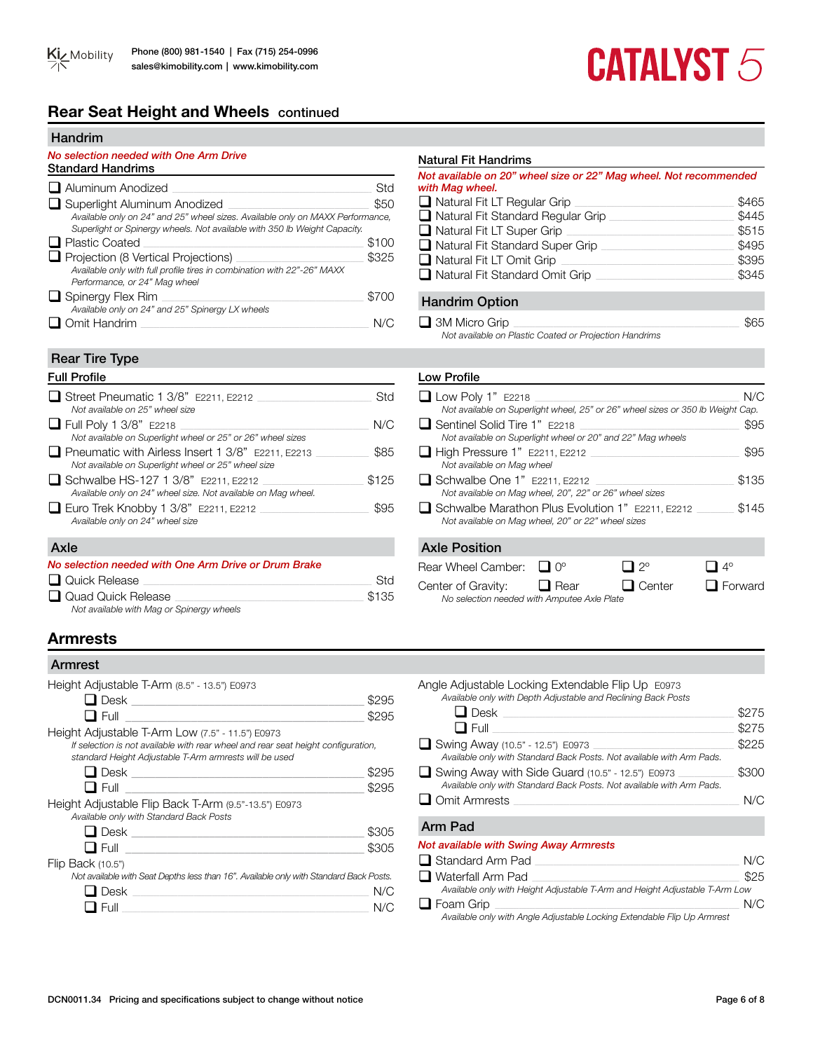# **Rear Seat Height and Wheels** continued

#### Handrim

### *No selection needed with One Arm Drive*

| <b>Standard Handrims</b>                                                                                                                                                                    |       |
|---------------------------------------------------------------------------------------------------------------------------------------------------------------------------------------------|-------|
| $\Box$ Aluminum Anodized                                                                                                                                                                    | Std   |
| Superlight Aluminum Anodized<br>Available only on 24" and 25" wheel sizes. Available only on MAXX Performance,<br>Superlight or Spinergy wheels. Not available with 350 lb Weight Capacity. | \$50  |
| $\Box$ Plastic Coated                                                                                                                                                                       | \$100 |
| Projection (8 Vertical Projections)<br>Available only with full profile tires in combination with 22"-26" MAXX<br>Performance, or 24" Mag wheel                                             | \$325 |
| $\Box$ Spinergy Flex Rim                                                                                                                                                                    | \$700 |
| Available only on 24" and 25" Spinergy LX wheels                                                                                                                                            |       |
| )mit Handrim                                                                                                                                                                                |       |

### Rear Tire Type

| $\Box$ Street Pneumatic 1 3/8" E2211, E2212<br>Not available on 25" wheel size                                  | Std   | $\Box$ Low Poly 1"<br>Not available of  |
|-----------------------------------------------------------------------------------------------------------------|-------|-----------------------------------------|
| $\Box$ Full Poly 1 3/8" E2218<br>Not available on Superlight wheel or 25" or 26" wheel sizes                    | N/C   | □ Sentinel Solid<br>Not available of    |
| $\Box$ Pneumatic with Airless Insert 1 3/8" E2211, E2213<br>Not available on Superlight wheel or 25" wheel size | \$85  | $\Box$ High Pressur<br>Not available of |
| $\Box$ Schwalbe HS-127 1 3/8" E2211, E2212<br>Available only on 24" wheel size. Not available on Mag wheel.     | \$125 | $\Box$ Schwalbe Or<br>Not available of  |
| $\Box$ Euro Trek Knobby 1 3/8" E2211, E2212<br>Available only on 24" wheel size                                 | \$95  | $\Box$ Schwalbe Ma<br>Not available of  |
| Axle                                                                                                            |       | <b>Axle Position</b>                    |

| No selection needed with One Arm Drive or Drum Brake |       |
|------------------------------------------------------|-------|
| $\Box$ Quick Release                                 | Std   |
| Quad Quick Release                                   | \$135 |
| Not available with Mag or Spinergy wheels            |       |

# **Armrests**

### Armrest

| Height Adjustable T-Arm (8.5" - 13.5") E0973                                                                                                |       |
|---------------------------------------------------------------------------------------------------------------------------------------------|-------|
| $\Box$ Desk $\_\_\_\_\_\_\_\_\_\_\_\_\_\_\_$                                                                                                | \$295 |
|                                                                                                                                             | \$295 |
| Height Adjustable T-Arm Low (7.5" - 11.5") E0973                                                                                            |       |
| If selection is not available with rear wheel and rear seat height configuration,<br>standard Height Adjustable T-Arm armrests will be used |       |
|                                                                                                                                             | \$295 |
|                                                                                                                                             | \$295 |
| Height Adjustable Flip Back T-Arm (9.5"-13.5") E0973<br>Available only with Standard Back Posts                                             |       |
| <b>□</b> Desk _________________________                                                                                                     | \$305 |
| $\blacksquare$ Full the set of $\blacksquare$                                                                                               | \$305 |
| Flip Back (10.5")                                                                                                                           |       |
| Not available with Seat Depths less than 16". Available only with Standard Back Posts.                                                      |       |
| Desk                                                                                                                                        | N/C   |
| Full                                                                                                                                        |       |

### Natural Fit Handrims

#### *Not available on 20" wheel size or 22" Mag wheel. Not recommended with Mag wheel.*

| $\Box$ Natural Fit LT Regular Grip       | \$465 |
|------------------------------------------|-------|
| $\Box$ Natural Fit Standard Regular Grip | \$445 |
| $\Box$ Natural Fit LT Super Grip         | \$515 |
| $\Box$ Natural Fit Standard Super Grip   | \$495 |
| Natural Fit LT Omit Grip                 | \$395 |
| $\Box$ Natural Fit Standard Omit Grip    | \$345 |
|                                          |       |

# Handrim Option

| 3M Micro Grip                                          | \$65 |
|--------------------------------------------------------|------|
| Not available on Plastic Coated or Projection Handrims |      |

# Full Profile Low Profile

| $\Box$ Low Poly 1" E2218                                                                               | N/C   |
|--------------------------------------------------------------------------------------------------------|-------|
| Not available on Superlight wheel, 25" or 26" wheel sizes or 350 lb Weight Cap.                        |       |
| □ Sentinel Solid Tire 1" E2218<br>Not available on Superlight wheel or 20" and 22" Mag wheels          | \$95  |
| $\Box$ High Pressure 1" E2211, E2212<br>Not available on Mag wheel                                     | \$95  |
| $\Box$ Schwalbe One 1" E2211, E2212<br>Not available on Mag wheel, 20", 22" or 26" wheel sizes         | \$135 |
| Schwalbe Marathon Plus Evolution 1" E2211, E2212<br>Not available on Mag wheel, 20" or 22" wheel sizes | \$145 |
| <b>Axle Position</b>                                                                                   |       |
| Rear Wheel Camber:<br>୨୦                                                                               |       |

| Rear Wheel Camber: $\Box$ 0°                |             | $\Box$ 2°     | $\Box$ 4°      |
|---------------------------------------------|-------------|---------------|----------------|
| Center of Gravity:                          | $\Box$ Rear | $\Box$ Center | $\Box$ Forward |
| No selection needed with Amputee Axle Plate |             |               |                |

# Angle Adjustable Locking Extendable Flip Up E0973

| Available only with Depth Adjustable and Reclining Back Posts         |       |
|-----------------------------------------------------------------------|-------|
| $\Box$ Desk                                                           | \$275 |
| $\Box$ Full                                                           | \$275 |
| Swing Away (10.5" - 12.5") E0973                                      | \$225 |
| Available only with Standard Back Posts. Not available with Arm Pads. |       |
| $\Box$ Swing Away with Side Guard (10.5" - 12.5") E0973               | \$300 |
| Available only with Standard Back Posts. Not available with Arm Pads. |       |
| $\Box$ Omit Armrests                                                  | N/C   |
|                                                                       |       |

# Arm Pad

### *Not available with Swing Away Armrests*

| $\Box$ Standard Arm Pad                                                     | N/C  |
|-----------------------------------------------------------------------------|------|
| $\Box$ Waterfall Arm Pad                                                    | \$25 |
| Available only with Height Adjustable T-Arm and Height Adjustable T-Arm Low |      |
| $\Box$ Foam Grip                                                            | N/C  |
| Available only with Angle Adjustable Locking Extendable Flip Up Armrest     |      |

DCN0011.34 Pricing and specifications subject to change without notice Page 6 of 8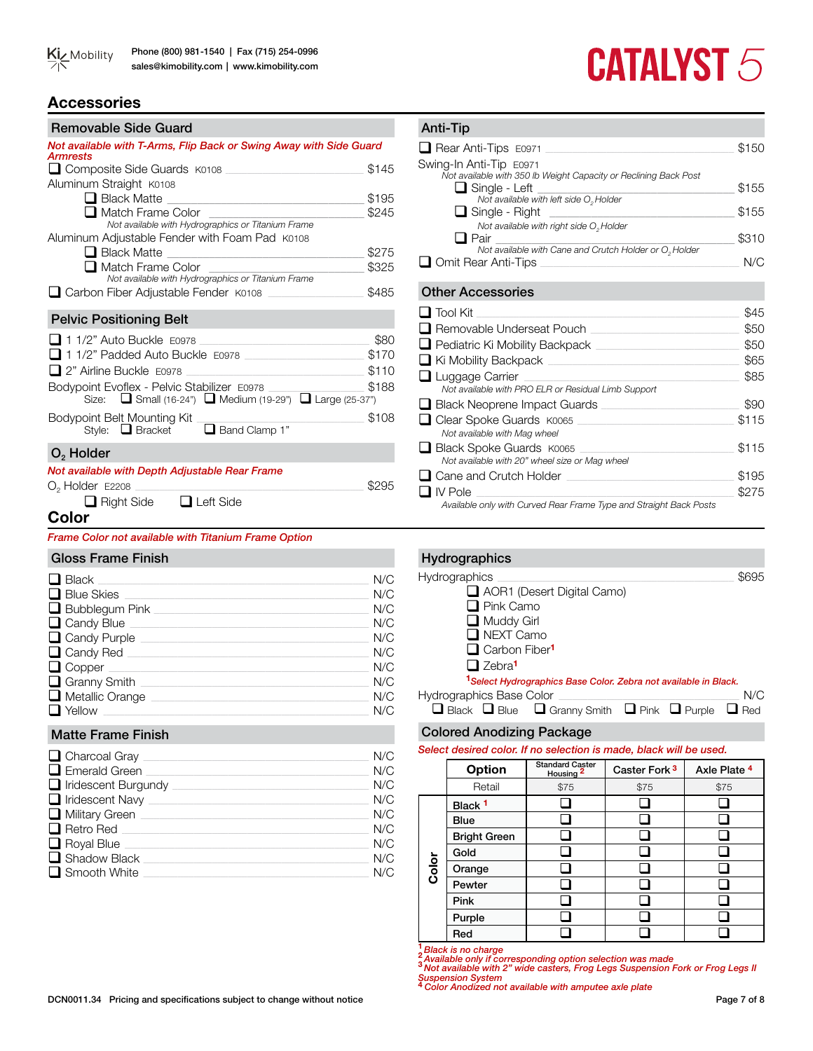

# **Accessories**

| Removable Side Guard                                                           |                     |
|--------------------------------------------------------------------------------|---------------------|
| Not available with T-Arms, Flip Back or Swing Away with Side Guard             |                     |
| <b>Armrests</b><br>Composite Side Guards K0108                                 | \$145               |
| Aluminum Straight K0108                                                        |                     |
|                                                                                | \$195               |
| □ Black Matte <u>_____________________________</u><br>$\Box$ Match Frame Color | \$245               |
| Not available with Hydrographics or Titanium Frame                             |                     |
| Aluminum Adjustable Fender with Foam Pad K0108                                 |                     |
| ■ Black Matte <u>_____________________________</u>                             | \$275               |
| □ Match Frame Color                                                            | \$325               |
| Not available with Hydrographics or Titanium Frame                             |                     |
| □ Carbon Fiber Adjustable Fender K0108                                         | \$485               |
| <b>Pelvic Positioning Belt</b>                                                 |                     |
| $\Box$ 1 1/2" Auto Buckle $E$ 0978                                             | \$80                |
| 11/2" Padded Auto Buckle E0978                                                 |                     |
| 2" Airline Buckle E0978                                                        | \$110               |
| Bodypoint Evoflex - Pelvic Stabilizer E0978                                    | $\frac{1}{2}$ \$188 |
| Size: $\Box$ Small (16-24") $\Box$ Medium (19-29") $\Box$ Large (25-37")       |                     |
|                                                                                | \$108               |
| Bodypoint Belt Mounting Kit<br>Style: ■ Bracket ■ Band Clamp 1"                |                     |
| $O2$ Holder                                                                    |                     |
| Not available with Depth Adjustable Rear Frame                                 |                     |
| $O2$ Holder $E2208$                                                            | \$295               |
| $\Box$ Right Side $\Box$ Left Side                                             |                     |

# **Color**

*Frame Color not available with Titanium Frame Option*

| Gloss Frame Finish           |     |
|------------------------------|-----|
| $\Box$ Black                 | N/C |
| $\Box$ Blue Skies            | N/C |
| $\Box$ Bubblegum Pink $\Box$ | N/C |
| $\Box$ Candy Blue            | N/C |
| $\Box$ Candy Purple $\Box$   | N/C |
| $\Box$ Candy Red $\Box$      | N/C |
| $\Box$ Copper $\Box$         | N/C |
| $\Box$ Granny Smith $\Box$   | N/C |
| $\Box$ Metallic Orange       | N/C |
| $\Box$ Yellow                | N/C |

# Matte Frame Finish

| $\Box$ Charcoal Gray $\_$    | N/C |
|------------------------------|-----|
| $\Box$ Emerald Green         | N/C |
| $\Box$ Iridescent Burgundy   | N/C |
| $\Box$ Iridescent Navy       | N/C |
| $\Box$ Military Green $\Box$ | N/C |
| $\Box$ Retro Red             | N/C |
| $\Box$ Royal Blue            | N/C |
| $\Box$ Shadow Black          | N/C |
| $\Box$ Smooth White          | N/C |

# **CATALYST 5**

# Other Accessories  $\Box$  Tool Kit  $\Box$ q Removable Underseat Pouch \_\_\_\_\_\_\_\_\_\_\_\_\_\_\_\_\_\_\_\_\_\_\_\_\_\_\_\_\_\_\_\_\_\_\_\_\_\_\_\_\_\_\_\_\_\_\_\_\_\_\_\_\_\_\_\_ \$50 q Pediatric Ki Mobility Backpack \_\_\_\_\_\_\_\_\_\_\_\_\_\_\_\_\_\_\_\_\_\_\_\_\_\_\_\_\_\_\_\_\_\_\_\_\_\_\_\_\_\_\_\_\_\_\_\_\_\_\_\_\_\_ \$50 q Ki Mobility Backpack \_\_\_\_\_\_\_\_\_\_\_\_\_\_\_\_\_\_\_\_\_\_\_\_\_\_\_\_\_\_\_\_\_\_\_\_\_\_\_\_\_\_\_\_\_\_\_\_\_\_\_\_\_\_\_\_\_\_\_\_\_\_\_\_\_\_\_\_\_\_\_\_ \$65 q Luggage Carrier \_\_\_\_\_\_\_\_\_\_\_\_\_\_\_\_\_\_\_\_\_\_\_\_\_\_\_\_\_\_\_\_\_\_\_\_\_\_\_\_\_\_\_\_\_\_\_\_\_\_\_\_\_\_\_\_\_\_\_\_\_\_\_\_\_\_\_\_\_\_\_\_\_\_\_\_\_\_\_\_\_ \$85 *Not available with PRO ELR or Residual Limb Support* **Q** Black Neoprene Impact Guards \_\_\_\_\_\_\_\_\_\_\_\_\_\_\_\_\_\_\_\_\_\_\_\_\_\_\_\_\_\_\_\_ \$90 q Clear Spoke Guards K0065 \_\_\_\_\_\_\_\_\_\_\_\_\_\_\_\_\_\_\_\_\_\_\_\_\_\_\_\_\_\_\_\_\_\_\_\_\_\_\_\_\_\_\_\_\_\_\_\_\_\_\_\_\_\_\_\_\_\_\_ \$115 *Not available with Mag wheel* q Black Spoke Guards K0065 \_\_\_\_\_\_\_\_\_\_\_\_\_\_\_\_\_\_\_\_\_\_\_\_\_\_\_\_\_\_\_\_\_\_\_\_\_\_\_\_\_\_\_\_\_\_\_\_\_\_\_\_\_\_\_\_\_\_ \$115 *Not available with 20" wheel size or Mag wheel* q Cane and Crutch Holder \_\_\_\_\_\_\_\_\_\_\_\_\_\_\_\_\_\_\_\_\_\_\_\_\_\_\_\_\_\_\_\_\_\_\_\_\_\_\_\_\_\_\_\_\_\_\_\_\_\_\_\_\_\_\_\_\_\_\_\_\_\_\_ \$195 Anti-Tip **Q** Rear Anti-Tips E0971 **Q** Rear Anti-Tips E0971 Swing-In Anti-Tip E0971 *Not available with 350 lb Weight Capacity or Reclining Back Post*  $\Box$  Single - Left  $\Box$ *Not available with left side O<sub>2</sub> Holder*  q Single - Right \_\_\_\_\_\_\_\_\_\_\_\_\_\_\_\_\_\_\_\_\_\_\_\_\_\_\_\_\_\_\_ \$155 *Not available with right side*  $O<sub>2</sub>$  *Holder*<br> **Q** Pair **□** Pair  $\frac{1}{\sqrt{2\pi}}$  **S310 Q** Omit Rear Anti-Tips **Quarter Anti-Tips N/C**

# Hydrographics Hydrographics \_\_\_\_\_\_\_\_\_\_\_\_\_\_\_\_\_\_\_\_\_\_\_\_\_\_\_\_\_\_\_\_\_\_\_\_\_\_\_\_\_\_\_\_\_\_\_\_\_\_\_\_\_\_\_\_\_\_\_\_\_\_\_\_\_\_\_\_\_\_\_\_\_\_\_\_\_\_\_\_\_\_\_\_\_\_\_\_\_ \$695 AOR1 (Desert Digital Camo)  $\Box$  Pink Camo  $\Box$  Muddy Girl NEXT Camo **Q** Carbon Fiber<sup>1</sup> □ Zebra<sup>1</sup> **<sup>1</sup>***Select Hydrographics Base Color. Zebra not available in Black.* Hydrographics Base Color \_\_\_\_\_\_\_\_\_\_\_\_\_\_\_\_\_\_\_\_\_\_\_\_\_\_\_\_\_\_\_\_\_\_\_\_\_\_\_\_\_\_\_\_\_\_\_\_\_\_\_\_\_\_\_\_\_\_\_\_\_\_\_\_\_\_\_\_ N/C  $\Box$  Black  $\Box$  Blue  $\Box$  Granny Smith  $\Box$  Pink  $\Box$  Purple  $\Box$  Red

q IV Pole \_\_\_\_\_\_\_\_\_\_\_\_\_\_\_\_\_\_\_\_\_\_\_\_\_\_\_\_\_\_\_\_\_\_\_\_\_\_\_\_\_\_\_\_\_\_\_\_\_\_\_\_\_\_\_\_\_\_\_\_\_\_\_\_\_\_\_\_\_\_\_\_\_\_\_\_\_\_\_\_\_\_\_\_\_\_\_\_\_\_\_\_\_\_\_\_\_ \$275 *Available only with Curved Rear Frame Type and Straight Back Posts*

# Colored Anodizing Package

*Select desired color. If no selection is made, black will be used.* 

|       | <b>Option</b>       | <b>Standard Caster</b><br>Housing <sup>2</sup> | Caster Fork <sup>3</sup> | Axle Plate 4 |  |  |  |
|-------|---------------------|------------------------------------------------|--------------------------|--------------|--|--|--|
|       | Retail              | \$75                                           | \$75                     | \$75         |  |  |  |
| Color | Black <sup>1</sup>  |                                                |                          |              |  |  |  |
|       | <b>Blue</b>         |                                                |                          |              |  |  |  |
|       | <b>Bright Green</b> |                                                |                          |              |  |  |  |
|       | Gold                |                                                |                          |              |  |  |  |
|       | Orange              |                                                |                          |              |  |  |  |
|       | Pewter              |                                                |                          |              |  |  |  |
|       | Pink                |                                                |                          |              |  |  |  |
|       | Purple              |                                                |                          |              |  |  |  |
|       | Red                 |                                                |                          |              |  |  |  |

**<sup>1</sup>** *Black is no charge* **<sup>2</sup>** *Available only if corresponding option selection was made* **<sup>3</sup>** *Not available with 2" wide casters, Frog Legs Suspension Fork or Frog Legs II* 

*Suspension System* **<sup>4</sup>***Color Anodized not available with amputee axle plate*